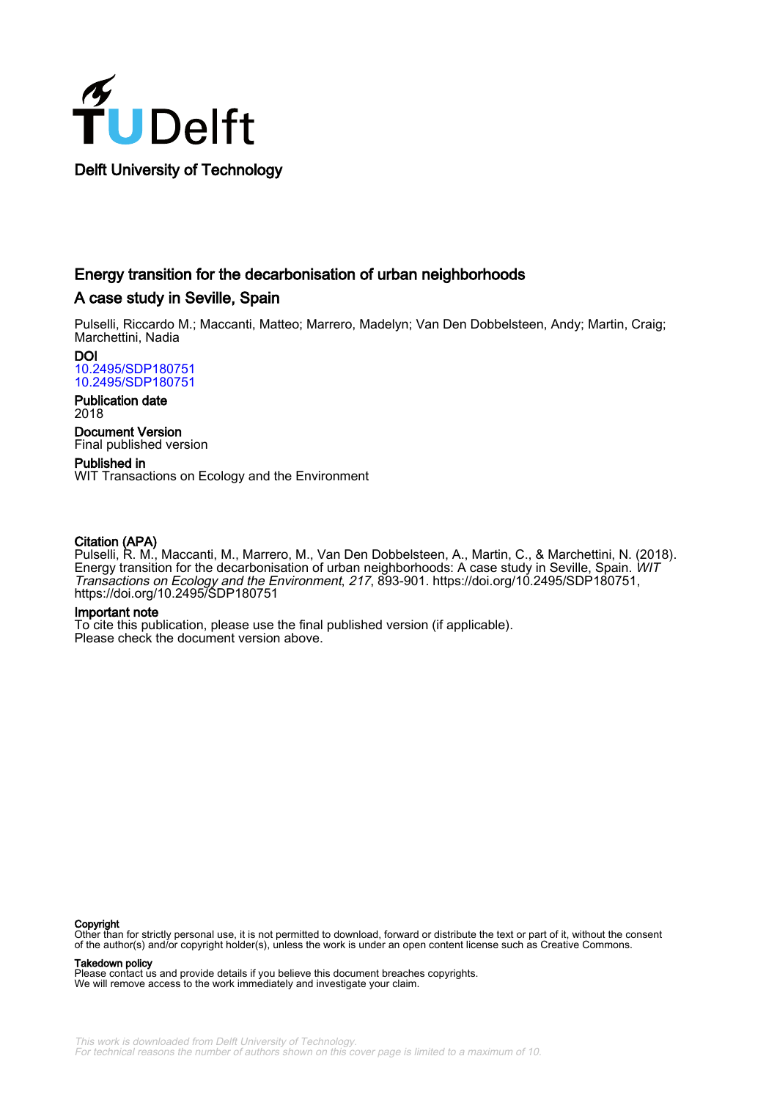

# Energy transition for the decarbonisation of urban neighborhoods

## A case study in Seville, Spain

Pulselli, Riccardo M.; Maccanti, Matteo; Marrero, Madelyn; Van Den Dobbelsteen, Andy; Martin, Craig; Marchettini, Nadia

DOI [10.2495/SDP180751](https://doi.org/10.2495/SDP180751) [10.2495/SDP180751](https://doi.org/10.2495/SDP180751)

Publication date 2018

Document Version Final published version

Published in WIT Transactions on Ecology and the Environment

## Citation (APA)

Pulselli, R. M., Maccanti, M., Marrero, M., Van Den Dobbelsteen, A., Martin, C., & Marchettini, N. (2018). Energy transition for the decarbonisation of urban neighborhoods: A case study in Seville, Spain. WIT Transactions on Ecology and the Environment, 217, 893-901. [https://doi.org/10.2495/SDP180751,](https://doi.org/10.2495/SDP180751) <https://doi.org/10.2495/SDP180751>

### Important note

To cite this publication, please use the final published version (if applicable). Please check the document version above.

#### **Copyright**

Other than for strictly personal use, it is not permitted to download, forward or distribute the text or part of it, without the consent<br>of the author(s) and/or copyright holder(s), unless the work is under an open content

Takedown policy

Please contact us and provide details if you believe this document breaches copyrights. We will remove access to the work immediately and investigate your claim.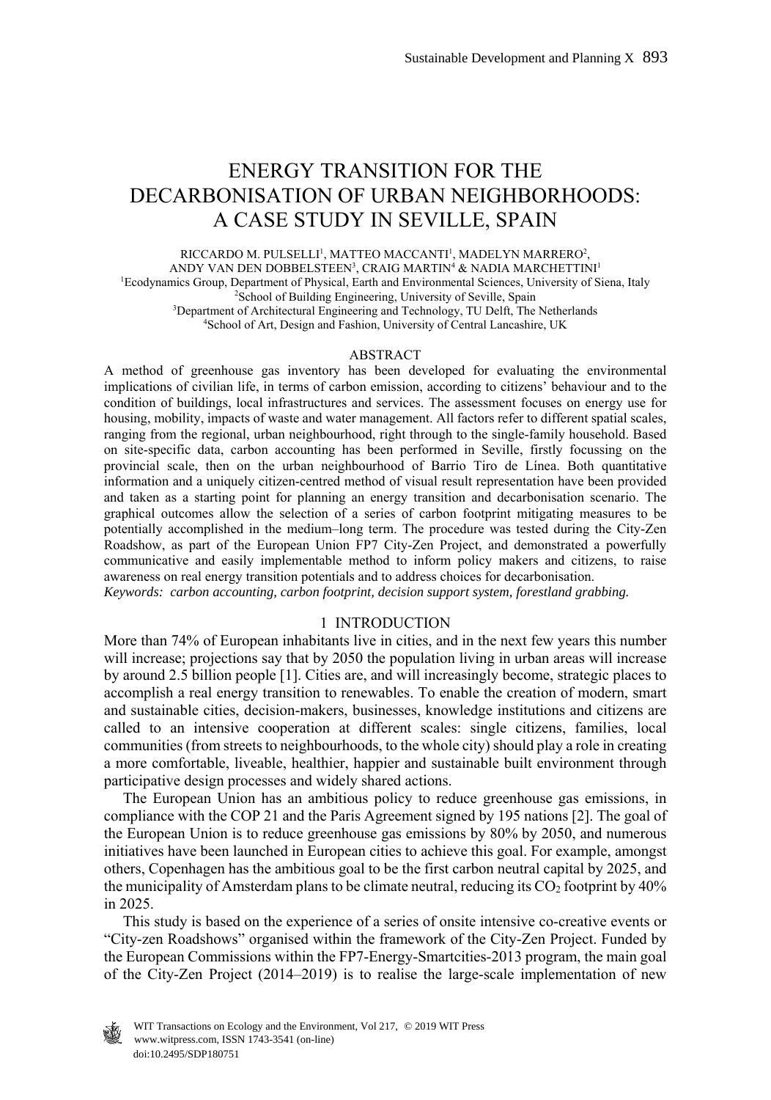# ENERGY TRANSITION FOR THE DECARBONISATION OF URBAN NEIGHBORHOODS: A CASE STUDY IN SEVILLE, SPAIN

RICCARDO M. PULSELLI<sup>1</sup>, MATTEO MACCANTI<sup>1</sup>, MADELYN MARRERO<sup>2</sup>, ANDY VAN DEN DOBBELSTEEN<sup>3</sup>, CRAIG MARTIN<sup>4</sup> & NADIA MARCHETTINI<sup>1</sup> <sup>1</sup>Ecodynamics Group, Department of Physical, Earth and Environmental Sciences, University of Siena, Italy <sup>2</sup>School of Building Engineering, University of Seville, Spain <sup>2</sup>School of Building Engineering, University of Seville, Spain <sup>3</sup>Department of Architectural Engineering and Technology, TU Delft, The Netherlands <sup>4</sup>School of Art, Design and Fashion, University of Central Lancashire, UK

#### ABSTRACT

A method of greenhouse gas inventory has been developed for evaluating the environmental implications of civilian life, in terms of carbon emission, according to citizens' behaviour and to the condition of buildings, local infrastructures and services. The assessment focuses on energy use for housing, mobility, impacts of waste and water management. All factors refer to different spatial scales, ranging from the regional, urban neighbourhood, right through to the single-family household. Based on site-specific data, carbon accounting has been performed in Seville, firstly focussing on the provincial scale, then on the urban neighbourhood of Barrio Tiro de Línea. Both quantitative information and a uniquely citizen-centred method of visual result representation have been provided and taken as a starting point for planning an energy transition and decarbonisation scenario. The graphical outcomes allow the selection of a series of carbon footprint mitigating measures to be potentially accomplished in the medium–long term. The procedure was tested during the City-Zen Roadshow, as part of the European Union FP7 City-Zen Project, and demonstrated a powerfully communicative and easily implementable method to inform policy makers and citizens, to raise awareness on real energy transition potentials and to address choices for decarbonisation.

*Keywords: carbon accounting, carbon footprint, decision support system, forestland grabbing.* 

#### 1 INTRODUCTION

More than 74% of European inhabitants live in cities, and in the next few years this number will increase; projections say that by 2050 the population living in urban areas will increase by around 2.5 billion people [1]. Cities are, and will increasingly become, strategic places to accomplish a real energy transition to renewables. To enable the creation of modern, smart and sustainable cities, decision-makers, businesses, knowledge institutions and citizens are called to an intensive cooperation at different scales: single citizens, families, local communities (from streets to neighbourhoods, to the whole city) should play a role in creating a more comfortable, liveable, healthier, happier and sustainable built environment through participative design processes and widely shared actions.

 The European Union has an ambitious policy to reduce greenhouse gas emissions, in compliance with the COP 21 and the Paris Agreement signed by 195 nations [2]. The goal of the European Union is to reduce greenhouse gas emissions by 80% by 2050, and numerous initiatives have been launched in European cities to achieve this goal. For example, amongst others, Copenhagen has the ambitious goal to be the first carbon neutral capital by 2025, and the municipality of Amsterdam plans to be climate neutral, reducing its  $CO<sub>2</sub>$  footprint by 40% in 2025.

 This study is based on the experience of a series of onsite intensive co-creative events or "City-zen Roadshows" organised within the framework of the City-Zen Project. Funded by the European Commissions within the FP7-Energy-Smartcities-2013 program, the main goal of the City-Zen Project (2014–2019) is to realise the large-scale implementation of new

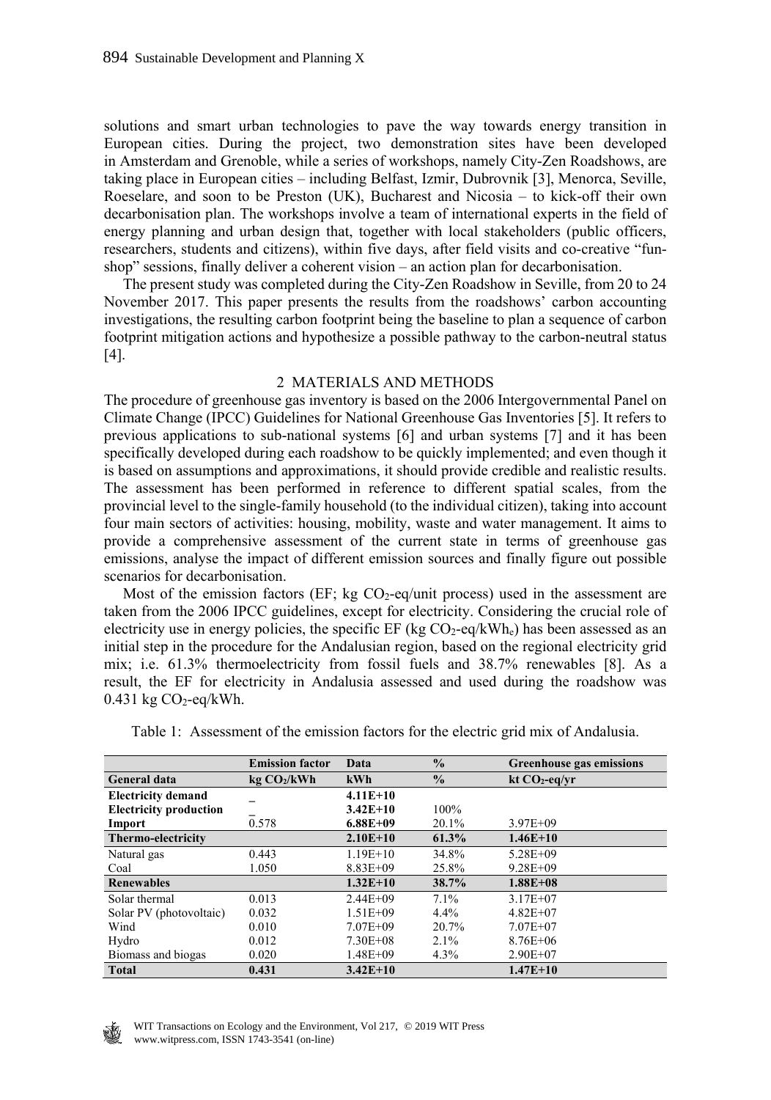solutions and smart urban technologies to pave the way towards energy transition in European cities. During the project, two demonstration sites have been developed in Amsterdam and Grenoble, while a series of workshops, namely City-Zen Roadshows, are taking place in European cities – including Belfast, Izmir, Dubrovnik [3], Menorca, Seville, Roeselare, and soon to be Preston (UK), Bucharest and Nicosia – to kick-off their own decarbonisation plan. The workshops involve a team of international experts in the field of energy planning and urban design that, together with local stakeholders (public officers, researchers, students and citizens), within five days, after field visits and co-creative "funshop" sessions, finally deliver a coherent vision – an action plan for decarbonisation.

 The present study was completed during the City-Zen Roadshow in Seville, from 20 to 24 November 2017. This paper presents the results from the roadshows' carbon accounting investigations, the resulting carbon footprint being the baseline to plan a sequence of carbon footprint mitigation actions and hypothesize a possible pathway to the carbon-neutral status [4].

#### 2 MATERIALS AND METHODS

The procedure of greenhouse gas inventory is based on the 2006 Intergovernmental Panel on Climate Change (IPCC) Guidelines for National Greenhouse Gas Inventories [5]. It refers to previous applications to sub-national systems [6] and urban systems [7] and it has been specifically developed during each roadshow to be quickly implemented; and even though it is based on assumptions and approximations, it should provide credible and realistic results. The assessment has been performed in reference to different spatial scales, from the provincial level to the single-family household (to the individual citizen), taking into account four main sectors of activities: housing, mobility, waste and water management. It aims to provide a comprehensive assessment of the current state in terms of greenhouse gas emissions, analyse the impact of different emission sources and finally figure out possible scenarios for decarbonisation.

Most of the emission factors (EF; kg  $CO<sub>2</sub>$ -eq/unit process) used in the assessment are taken from the 2006 IPCC guidelines, except for electricity. Considering the crucial role of electricity use in energy policies, the specific EF (kg  $CO_2$ -eq/kWh<sub>e</sub>) has been assessed as an initial step in the procedure for the Andalusian region, based on the regional electricity grid mix; i.e. 61.3% thermoelectricity from fossil fuels and 38.7% renewables [8]. As a result, the EF for electricity in Andalusia assessed and used during the roadshow was  $0.431$  kg  $CO<sub>2</sub>$ -eq/kWh.

|                               | <b>Emission factor</b>  | Data         | $\frac{0}{0}$ | <b>Greenhouse gas emissions</b> |
|-------------------------------|-------------------------|--------------|---------------|---------------------------------|
| <b>General data</b>           | kg CO <sub>2</sub> /kWh | kWh          | $\frac{0}{0}$ | $kt CO2-eq/yr$                  |
| <b>Electricity demand</b>     |                         | $4.11E+10$   |               |                                 |
| <b>Electricity production</b> |                         | $3.42E+10$   | 100%          |                                 |
| Import                        | 0.578                   | $6.88E + 09$ | 20.1%         | $3.97E + 09$                    |
| Thermo-electricity            |                         | $2.10E+10$   | 61.3%         | $1.46E+10$                      |
| Natural gas                   | 0.443                   | $1.19E+10$   | 34.8%         | $5.28E + 09$                    |
| Coal                          | 1.050                   | $8.83E + 09$ | 25.8%         | $9.28E + 09$                    |
| <b>Renewables</b>             |                         | $1.32E+10$   | 38.7%         | $1.88E + 0.8$                   |
| Solar thermal                 | 0.013                   | $2.44E + 09$ | 7.1%          | $3.17E + 07$                    |
| Solar PV (photovoltaic)       | 0.032                   | $1.51E + 09$ | $4.4\%$       | $4.82E + 07$                    |
| Wind                          | 0.010                   | $7.07E + 09$ | 20.7%         | $7.07E + 07$                    |
| Hydro                         | 0.012                   | $7.30E + 08$ | $2.1\%$       | $8.76E + 06$                    |
| Biomass and biogas            | 0.020                   | $1.48E + 09$ | 4.3%          | $2.90E + 07$                    |
| <b>Total</b>                  | 0.431                   | $3.42E+10$   |               | $1.47E + 10$                    |

Table 1: Assessment of the emission factors for the electric grid mix of Andalusia.

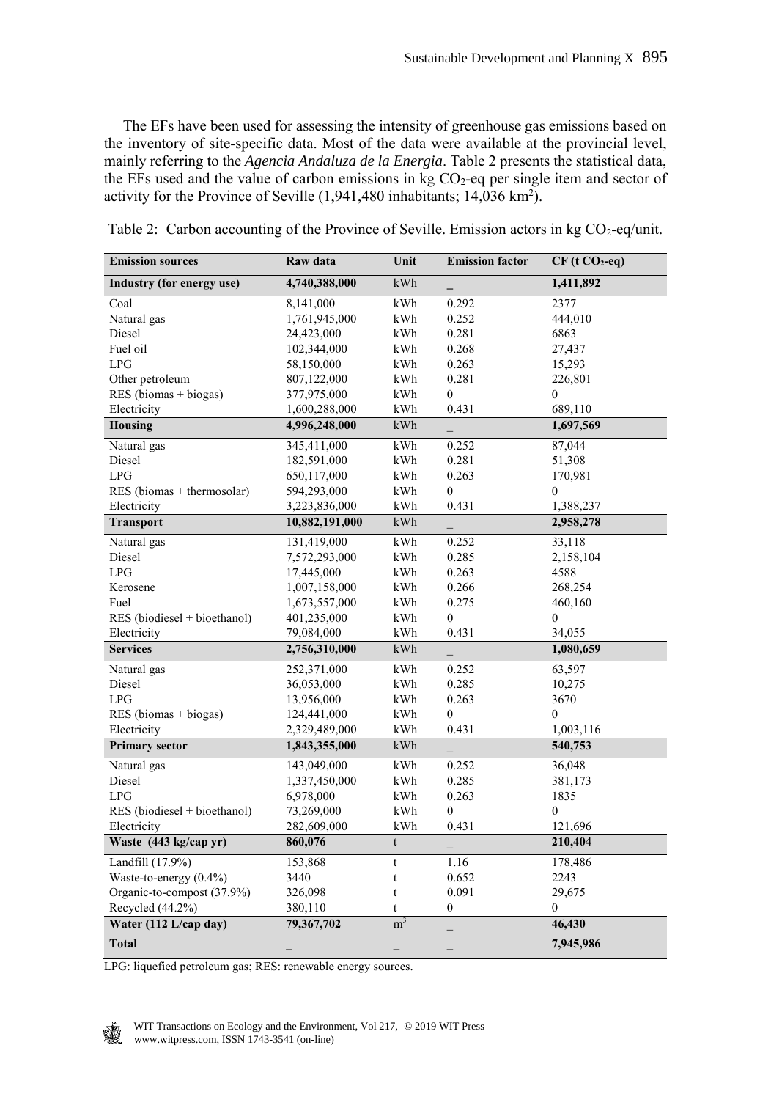The EFs have been used for assessing the intensity of greenhouse gas emissions based on the inventory of site-specific data. Most of the data were available at the provincial level, mainly referring to the *Agencia Andaluza de la Energia*. Table 2 presents the statistical data, the EFs used and the value of carbon emissions in  $kg CO<sub>2</sub>$ -eq per single item and sector of activity for the Province of Seville  $(1, 941, 480)$  inhabitants;  $14, 036$  km<sup>2</sup>).

| <b>Emission sources</b>      | Raw data       | Unit           | <b>Emission factor</b>   | $CF(t CO2-eq)$   |
|------------------------------|----------------|----------------|--------------------------|------------------|
| Industry (for energy use)    | 4,740,388,000  | kWh            |                          | 1,411,892        |
| Coal                         | 8,141,000      | $\mathbf{kWh}$ | 0.292                    | 2377             |
| Natural gas                  | 1,761,945,000  | kWh            | 0.252                    | 444,010          |
| Diesel                       | 24,423,000     | kWh            | 0.281                    | 6863             |
| Fuel oil                     | 102,344,000    | kWh            | 0.268                    | 27,437           |
| LPG                          | 58,150,000     | kWh            | 0.263                    | 15,293           |
| Other petroleum              | 807,122,000    | kWh            | 0.281                    | 226,801          |
| $RES$ (biomas + biogas)      | 377,975,000    | kWh            | $\boldsymbol{0}$         | $\mathbf{0}$     |
| Electricity                  | 1,600,288,000  | kWh            | 0.431                    | 689,110          |
| Housing                      | 4,996,248,000  | $\mathbf{kWh}$ |                          | 1,697,569        |
| Natural gas                  | 345,411,000    | kWh            | 0.252                    | 87,044           |
| Diesel                       | 182,591,000    | kWh            | 0.281                    | 51,308           |
| LPG                          | 650,117,000    | kWh            | 0.263                    | 170,981          |
| RES (biomas + thermosolar)   | 594,293,000    | kWh            | $\mathbf{0}$             | $\mathbf{0}$     |
| Electricity                  | 3,223,836,000  | kWh            | 0.431                    | 1,388,237        |
| <b>Transport</b>             | 10,882,191,000 | kWh            |                          | 2,958,278        |
| Natural gas                  | 131,419,000    | kWh            | 0.252                    | 33,118           |
| Diesel                       | 7,572,293,000  | kWh            | 0.285                    | 2,158,104        |
| LPG                          | 17,445,000     | kWh            | 0.263                    | 4588             |
| Kerosene                     | 1,007,158,000  | kWh            | 0.266                    | 268,254          |
| Fuel                         | 1,673,557,000  | kWh            | 0.275                    | 460,160          |
| RES (biodiesel + bioethanol) | 401,235,000    | kWh            | $\mathbf{0}$             | $\mathbf{0}$     |
| Electricity                  | 79,084,000     | kWh            | 0.431                    | 34,055           |
| <b>Services</b>              | 2,756,310,000  | $\mathbf{kWh}$ | $\overline{\phantom{0}}$ | 1,080,659        |
| Natural gas                  | 252,371,000    | $\mathbf{kWh}$ | 0.252                    | 63,597           |
| Diesel                       | 36,053,000     | kWh            | 0.285                    | 10,275           |
| LPG                          | 13,956,000     | kWh            | 0.263                    | 3670             |
| RES (biomas + biogas)        | 124,441,000    | kWh            | $\theta$                 | $\theta$         |
| Electricity                  | 2,329,489,000  | kWh            | 0.431                    | 1,003,116        |
| <b>Primary sector</b>        | 1,843,355,000  | kWh            |                          | 540,753          |
| Natural gas                  | 143,049,000    | kWh            | 0.252                    | 36,048           |
| Diesel                       | 1,337,450,000  | kWh            | 0.285                    | 381,173          |
| <b>LPG</b>                   | 6,978,000      | kWh            | 0.263                    | 1835             |
| RES (biodiesel + bioethanol) | 73,269,000     | kWh            | 0                        | $\mathbf{0}$     |
| Electricity                  | 282,609,000    | kWh            | 0.431                    | 121,696          |
| Waste (443 kg/cap yr)        | 860,076        | t              |                          | 210,404          |
| Landfill (17.9%)             | 153,868        | $\mathbf t$    | 1.16                     | 178,486          |
| Waste-to-energy (0.4%)       | 3440           | t              | 0.652                    | 2243             |
| Organic-to-compost (37.9%)   | 326,098        | t              | 0.091                    | 29,675           |
| Recycled (44.2%)             | 380,110        | t              | $\boldsymbol{0}$         | $\boldsymbol{0}$ |
| Water (112 L/cap day)        | 79,367,702     | m <sup>3</sup> |                          | 46,430           |
| <b>Total</b>                 |                |                |                          | 7,945,986        |

|  |  | Table 2: Carbon accounting of the Province of Seville. Emission actors in kg CO <sub>2</sub> -eq/unit. |  |
|--|--|--------------------------------------------------------------------------------------------------------|--|
|  |  |                                                                                                        |  |

LPG: liquefied petroleum gas; RES: renewable energy sources.

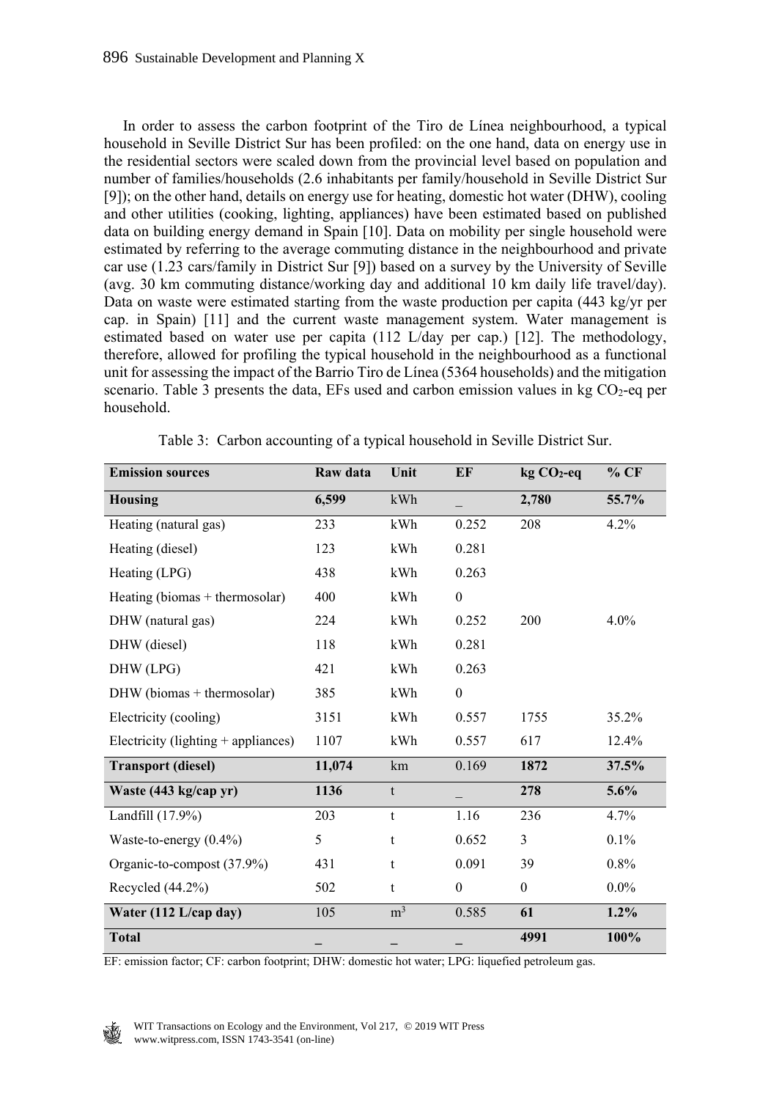In order to assess the carbon footprint of the Tiro de Línea neighbourhood, a typical household in Seville District Sur has been profiled: on the one hand, data on energy use in the residential sectors were scaled down from the provincial level based on population and number of families/households (2.6 inhabitants per family/household in Seville District Sur [9]); on the other hand, details on energy use for heating, domestic hot water (DHW), cooling and other utilities (cooking, lighting, appliances) have been estimated based on published data on building energy demand in Spain [10]. Data on mobility per single household were estimated by referring to the average commuting distance in the neighbourhood and private car use (1.23 cars/family in District Sur [9]) based on a survey by the University of Seville (avg. 30 km commuting distance/working day and additional 10 km daily life travel/day). Data on waste were estimated starting from the waste production per capita (443 kg/yr per cap. in Spain) [11] and the current waste management system. Water management is estimated based on water use per capita (112 L/day per cap.) [12]. The methodology, therefore, allowed for profiling the typical household in the neighbourhood as a functional unit for assessing the impact of the Barrio Tiro de Línea (5364 households) and the mitigation scenario. Table 3 presents the data, EFs used and carbon emission values in kg  $CO<sub>2</sub>$ -eq per household.

| <b>Emission sources</b>               | Raw data | Unit           | EF           | kg CO <sub>2</sub> -eq | % CF    |
|---------------------------------------|----------|----------------|--------------|------------------------|---------|
| <b>Housing</b>                        | 6,599    | kWh            |              | 2,780                  | 55.7%   |
| Heating (natural gas)                 | 233      | kWh            | 0.252        | 208                    | 4.2%    |
| Heating (diesel)                      | 123      | kWh            | 0.281        |                        |         |
| Heating (LPG)                         | 438      | kWh            | 0.263        |                        |         |
| Heating (biomas + thermosolar)        | 400      | kWh            | $\mathbf{0}$ |                        |         |
| DHW (natural gas)                     | 224      | kWh            | 0.252        | 200                    | $4.0\%$ |
| DHW (diesel)                          | 118      | kWh            | 0.281        |                        |         |
| DHW (LPG)                             | 421      | kWh            | 0.263        |                        |         |
| DHW (biomas + thermosolar)            | 385      | kWh            | $\mathbf{0}$ |                        |         |
| Electricity (cooling)                 | 3151     | kWh            | 0.557        | 1755                   | 35.2%   |
| Electricity (lighting $+$ appliances) | 1107     | kWh            | 0.557        | 617                    | 12.4%   |
| <b>Transport (diesel)</b>             | 11,074   | km             | 0.169        | 1872                   | 37.5%   |
| Waste (443 kg/cap yr)                 | 1136     | t              |              | 278                    | 5.6%    |
| Landfill (17.9%)                      | 203      | t              | 1.16         | 236                    | 4.7%    |
| Waste-to-energy (0.4%)                | 5        | t              | 0.652        | 3                      | $0.1\%$ |
| Organic-to-compost (37.9%)            | 431      | t              | 0.091        | 39                     | 0.8%    |
| Recycled (44.2%)                      | 502      | t              | $\mathbf{0}$ | $\mathbf{0}$           | $0.0\%$ |
| Water (112 L/cap day)                 | 105      | m <sup>3</sup> | 0.585        | 61                     | $1.2\%$ |
| <b>Total</b>                          |          |                |              | 4991                   | 100%    |

Table 3: Carbon accounting of a typical household in Seville District Sur.

EF: emission factor; CF: carbon footprint; DHW: domestic hot water; LPG: liquefied petroleum gas.

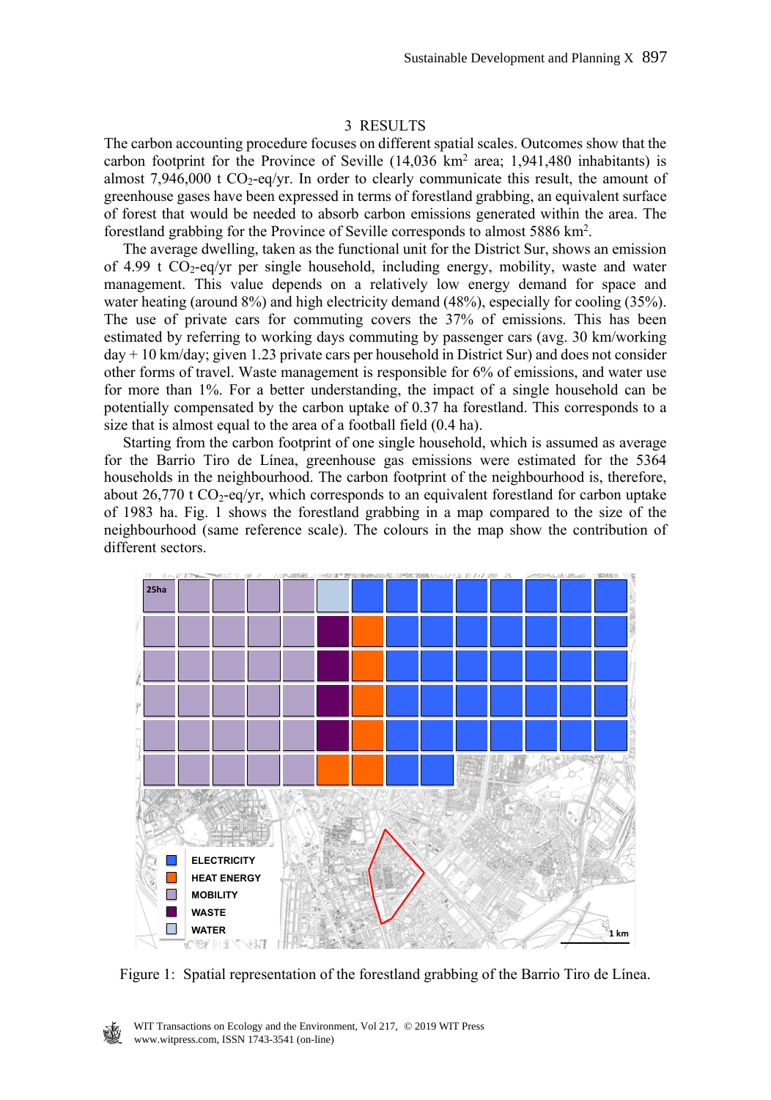#### 3 RESULTS

The carbon accounting procedure focuses on different spatial scales. Outcomes show that the carbon footprint for the Province of Seville  $(14,036 \text{ km}^2 \text{ area}; 1,941,480 \text{ inhabitants})$  is almost 7,946,000 t  $CO_2$ -eq/yr. In order to clearly communicate this result, the amount of greenhouse gases have been expressed in terms of forestland grabbing, an equivalent surface of forest that would be needed to absorb carbon emissions generated within the area. The forestland grabbing for the Province of Seville corresponds to almost 5886 km2 .

 The average dwelling, taken as the functional unit for the District Sur, shows an emission of 4.99 t  $CO_2$ -eq/yr per single household, including energy, mobility, waste and water management. This value depends on a relatively low energy demand for space and water heating (around 8%) and high electricity demand (48%), especially for cooling (35%). The use of private cars for commuting covers the 37% of emissions. This has been estimated by referring to working days commuting by passenger cars (avg. 30 km/working day + 10 km/day; given 1.23 private cars per household in District Sur) and does not consider other forms of travel. Waste management is responsible for 6% of emissions, and water use for more than 1%. For a better understanding, the impact of a single household can be potentially compensated by the carbon uptake of 0.37 ha forestland. This corresponds to a size that is almost equal to the area of a football field (0.4 ha).

 Starting from the carbon footprint of one single household, which is assumed as average for the Barrio Tiro de Línea, greenhouse gas emissions were estimated for the 5364 households in the neighbourhood. The carbon footprint of the neighbourhood is, therefore, about 26,770 t  $CO_2$ -eq/yr, which corresponds to an equivalent forestland for carbon uptake of 1983 ha. Fig. 1 shows the forestland grabbing in a map compared to the size of the neighbourhood (same reference scale). The colours in the map show the contribution of different sectors.



Figure 1: Spatial representation of the forestland grabbing of the Barrio Tiro de Línea.

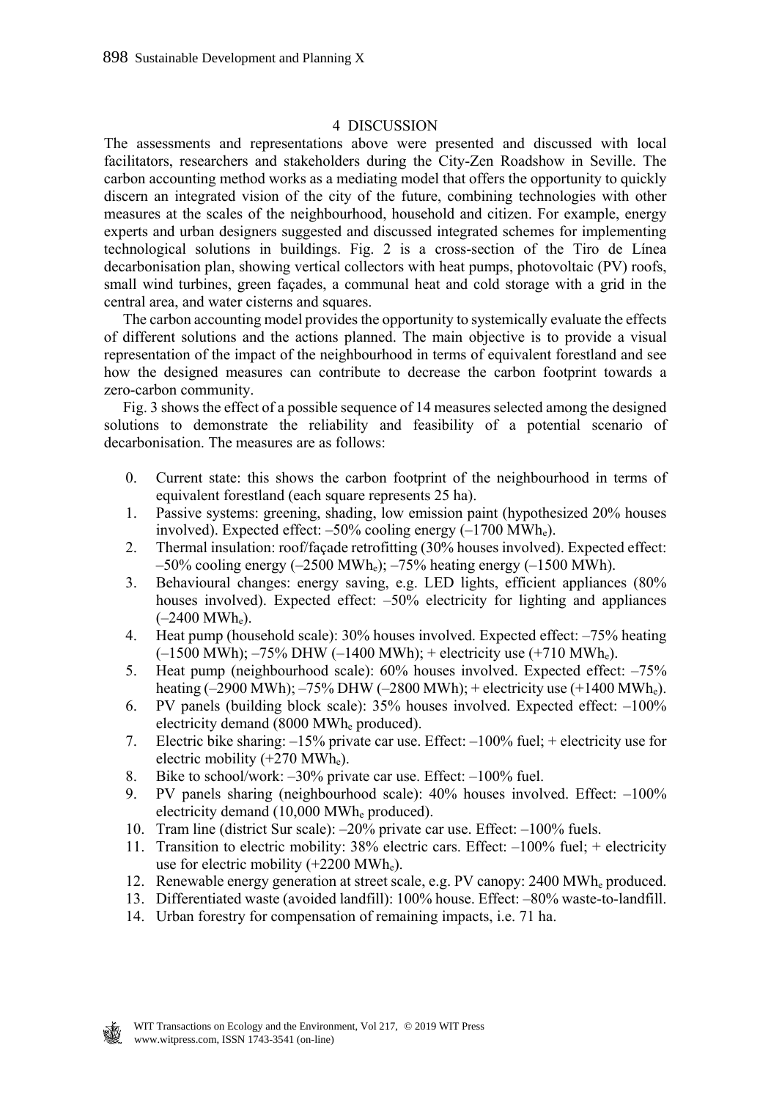#### 4 DISCUSSION

The assessments and representations above were presented and discussed with local facilitators, researchers and stakeholders during the City-Zen Roadshow in Seville. The carbon accounting method works as a mediating model that offers the opportunity to quickly discern an integrated vision of the city of the future, combining technologies with other measures at the scales of the neighbourhood, household and citizen. For example, energy experts and urban designers suggested and discussed integrated schemes for implementing technological solutions in buildings. Fig. 2 is a cross-section of the Tiro de Línea decarbonisation plan, showing vertical collectors with heat pumps, photovoltaic (PV) roofs, small wind turbines, green façades, a communal heat and cold storage with a grid in the central area, and water cisterns and squares.

 The carbon accounting model provides the opportunity to systemically evaluate the effects of different solutions and the actions planned. The main objective is to provide a visual representation of the impact of the neighbourhood in terms of equivalent forestland and see how the designed measures can contribute to decrease the carbon footprint towards a zero-carbon community.

 Fig. 3 shows the effect of a possible sequence of 14 measures selected among the designed solutions to demonstrate the reliability and feasibility of a potential scenario of decarbonisation. The measures are as follows:

- 0. Current state: this shows the carbon footprint of the neighbourhood in terms of equivalent forestland (each square represents 25 ha).
- 1. Passive systems: greening, shading, low emission paint (hypothesized 20% houses involved). Expected effect:  $-50\%$  cooling energy  $(-1700 \text{ MWh}_e)$ .
- 2. Thermal insulation: roof/façade retrofitting (30% houses involved). Expected effect:  $-50\%$  cooling energy ( $-2500$  MWh<sub>e</sub>);  $-75\%$  heating energy ( $-1500$  MWh).
- 3. Behavioural changes: energy saving, e.g. LED lights, efficient appliances (80% houses involved). Expected effect:  $-50\%$  electricity for lighting and appliances  $(-2400 \text{ MWh}_e)$ .
- 4. Heat pump (household scale): 30% houses involved. Expected effect: –75% heating  $(-1500 \text{ MWh})$ ;  $-75\% \text{ DHW}$  ( $-1400 \text{ MWh}$ ); + electricity use (+710 MWh<sub>e</sub>).
- 5. Heat pump (neighbourhood scale): 60% houses involved. Expected effect: –75% heating (-2900 MWh);  $-75\%$  DHW (-2800 MWh); + electricity use (+1400 MWh<sub>e</sub>).
- 6. PV panels (building block scale): 35% houses involved. Expected effect: –100% electricity demand (8000 MWhe produced).
- 7. Electric bike sharing: –15% private car use. Effect: –100% fuel; + electricity use for electric mobility (+270 MWhe).
- 8. Bike to school/work: –30% private car use. Effect: –100% fuel.
- 9. PV panels sharing (neighbourhood scale): 40% houses involved. Effect: –100% electricity demand (10,000 MWh<sub>e</sub> produced).
- 10. Tram line (district Sur scale): –20% private car use. Effect: –100% fuels.
- 11. Transition to electric mobility: 38% electric cars. Effect: –100% fuel; + electricity use for electric mobility  $(+2200 \text{ MWh}_e)$ .
- 12. Renewable energy generation at street scale, e.g. PV canopy: 2400 MWhe produced.
- 13. Differentiated waste (avoided landfill): 100% house. Effect: –80% waste-to-landfill.
- 14. Urban forestry for compensation of remaining impacts, i.e. 71 ha.

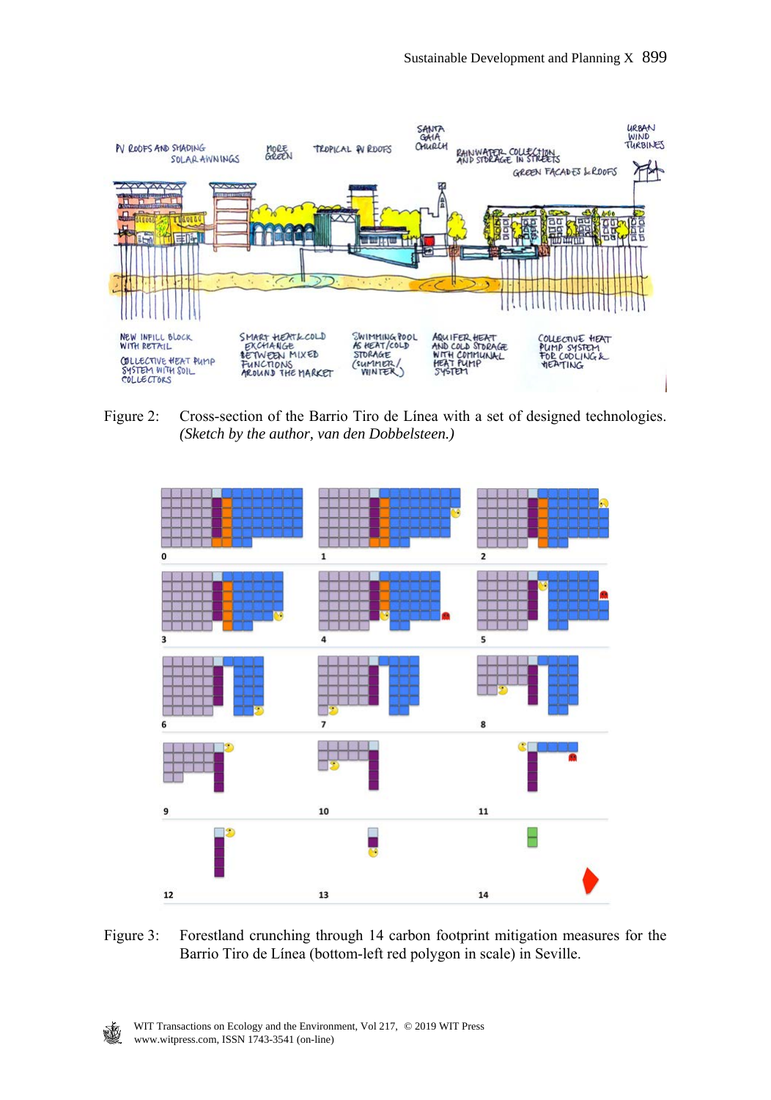

Figure 2: Cross-section of the Barrio Tiro de Línea with a set of designed technologies. *(Sketch by the author, van den Dobbelsteen.)*



Figure 3: Forestland crunching through 14 carbon footprint mitigation measures for the Barrio Tiro de Línea (bottom-left red polygon in scale) in Seville.

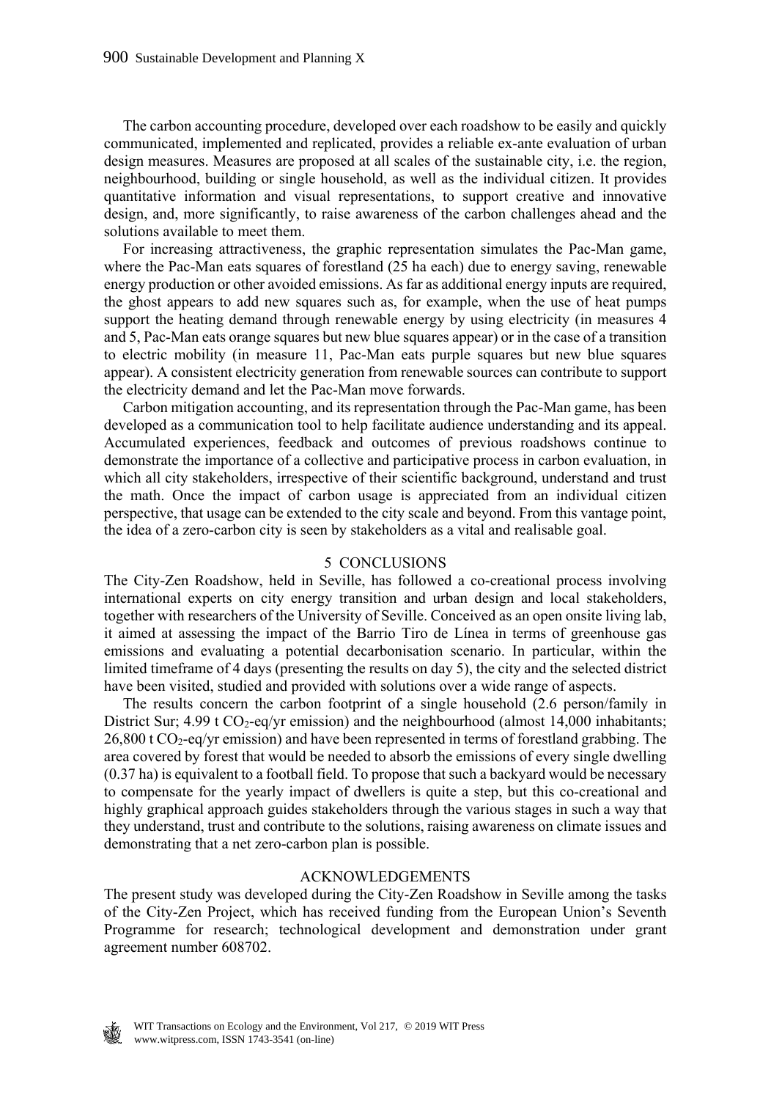The carbon accounting procedure, developed over each roadshow to be easily and quickly communicated, implemented and replicated, provides a reliable ex-ante evaluation of urban design measures. Measures are proposed at all scales of the sustainable city, i.e. the region, neighbourhood, building or single household, as well as the individual citizen. It provides quantitative information and visual representations, to support creative and innovative design, and, more significantly, to raise awareness of the carbon challenges ahead and the solutions available to meet them.

 For increasing attractiveness, the graphic representation simulates the Pac-Man game, where the Pac-Man eats squares of forestland (25 ha each) due to energy saving, renewable energy production or other avoided emissions. As far as additional energy inputs are required, the ghost appears to add new squares such as, for example, when the use of heat pumps support the heating demand through renewable energy by using electricity (in measures 4 and 5, Pac-Man eats orange squares but new blue squares appear) or in the case of a transition to electric mobility (in measure 11, Pac-Man eats purple squares but new blue squares appear). A consistent electricity generation from renewable sources can contribute to support the electricity demand and let the Pac-Man move forwards.

 Carbon mitigation accounting, and its representation through the Pac-Man game, has been developed as a communication tool to help facilitate audience understanding and its appeal. Accumulated experiences, feedback and outcomes of previous roadshows continue to demonstrate the importance of a collective and participative process in carbon evaluation, in which all city stakeholders, irrespective of their scientific background, understand and trust the math. Once the impact of carbon usage is appreciated from an individual citizen perspective, that usage can be extended to the city scale and beyond. From this vantage point, the idea of a zero-carbon city is seen by stakeholders as a vital and realisable goal.

#### 5 CONCLUSIONS

The City-Zen Roadshow, held in Seville, has followed a co-creational process involving international experts on city energy transition and urban design and local stakeholders, together with researchers of the University of Seville. Conceived as an open onsite living lab, it aimed at assessing the impact of the Barrio Tiro de Línea in terms of greenhouse gas emissions and evaluating a potential decarbonisation scenario. In particular, within the limited timeframe of 4 days (presenting the results on day 5), the city and the selected district have been visited, studied and provided with solutions over a wide range of aspects.

 The results concern the carbon footprint of a single household (2.6 person/family in District Sur;  $4.99$  t CO<sub>2</sub>-eq/yr emission) and the neighbourhood (almost 14,000 inhabitants; 26,800 t CO2-eq/yr emission) and have been represented in terms of forestland grabbing. The area covered by forest that would be needed to absorb the emissions of every single dwelling (0.37 ha) is equivalent to a football field. To propose that such a backyard would be necessary to compensate for the yearly impact of dwellers is quite a step, but this co-creational and highly graphical approach guides stakeholders through the various stages in such a way that they understand, trust and contribute to the solutions, raising awareness on climate issues and demonstrating that a net zero-carbon plan is possible.

#### ACKNOWLEDGEMENTS

The present study was developed during the City-Zen Roadshow in Seville among the tasks of the City-Zen Project, which has received funding from the European Union's Seventh Programme for research; technological development and demonstration under grant agreement number 608702.